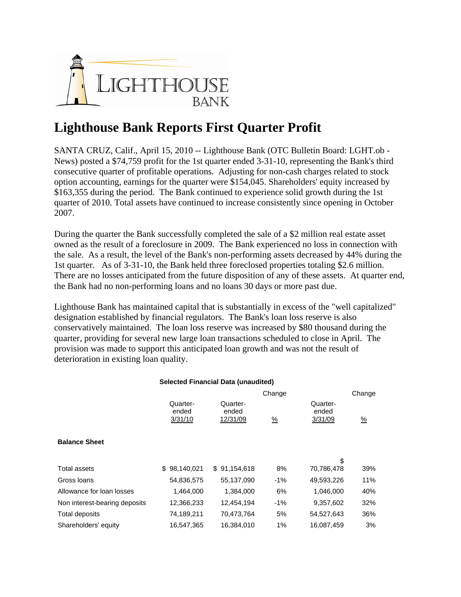

## **Lighthouse Bank Reports First Quarter Profit**

SANTA CRUZ, Calif., April 15, 2010 -- Lighthouse Bank (OTC Bulletin Board: LGHT.ob - News) posted a \$74,759 profit for the 1st quarter ended 3-31-10, representing the Bank's third consecutive quarter of profitable operations. Adjusting for non-cash charges related to stock option accounting, earnings for the quarter were \$154,045. Shareholders' equity increased by \$163,355 during the period. The Bank continued to experience solid growth during the 1st quarter of 2010. Total assets have continued to increase consistently since opening in October 2007.

During the quarter the Bank successfully completed the sale of a \$2 million real estate asset owned as the result of a foreclosure in 2009. The Bank experienced no loss in connection with the sale. As a result, the level of the Bank's non-performing assets decreased by 44% during the 1st quarter. As of 3-31-10, the Bank held three foreclosed properties totaling \$2.6 million. There are no losses anticipated from the future disposition of any of these assets. At quarter end, the Bank had no non-performing loans and no loans 30 days or more past due.

Lighthouse Bank has maintained capital that is substantially in excess of the "well capitalized" designation established by financial regulators. The Bank's loan loss reserve is also conservatively maintained. The loan loss reserve was increased by \$80 thousand during the quarter, providing for several new large loan transactions scheduled to close in April. The provision was made to support this anticipated loan growth and was not the result of deterioration in existing loan quality.

|                               |                              |                               | Change        |                              | Change        |
|-------------------------------|------------------------------|-------------------------------|---------------|------------------------------|---------------|
|                               | Quarter-<br>ended<br>3/31/10 | Quarter-<br>ended<br>12/31/09 | $\frac{9}{6}$ | Quarter-<br>ended<br>3/31/09 | $\frac{9}{6}$ |
| <b>Balance Sheet</b>          |                              |                               |               |                              |               |
|                               |                              |                               |               | \$                           |               |
| Total assets                  | \$98,140,021                 | \$91,154,618                  | 8%            | 70,786,478                   | 39%           |
| Gross Ioans                   | 54,836,575                   | 55,137,090                    | $-1\%$        | 49,593,226                   | 11%           |
| Allowance for loan losses     | 1,464,000                    | 1,384,000                     | 6%            | 1,046,000                    | 40%           |
| Non interest-bearing deposits | 12,366,233                   | 12,454,194                    | $-1\%$        | 9,357,602                    | 32%           |
| Total deposits                | 74,189,211                   | 70,473,764                    | 5%            | 54,527,643                   | 36%           |
| Shareholders' equity          | 16,547,365                   | 16.384.010                    | 1%            | 16.087.459                   | 3%            |

## **Selected Financial Data (unaudited)**